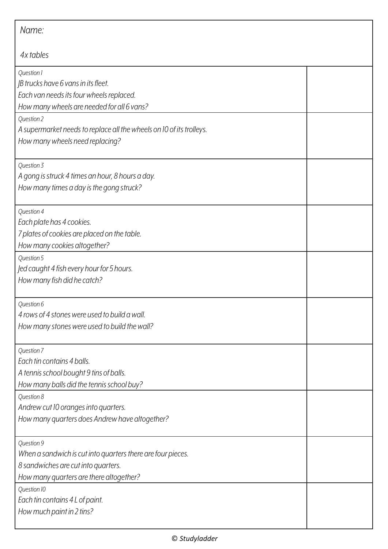| Name:                                                                                                                                                       |  |  |
|-------------------------------------------------------------------------------------------------------------------------------------------------------------|--|--|
| 4x tables                                                                                                                                                   |  |  |
| Question 1<br>JB trucks have 6 vans in its fleet.<br>Each van needs its four wheels replaced.<br>How many wheels are needed for all 6 vans?                 |  |  |
| Question 2<br>A supermarket needs to replace all the wheels on 10 of its trolleys.<br>How many wheels need replacing?                                       |  |  |
| Question 3<br>A gong is struck 4 times an hour, 8 hours a day.<br>How many times a day is the gong struck?                                                  |  |  |
| Question 4<br>Each plate has 4 cookies.<br>7 plates of cookies are placed on the table.<br>How many cookies altogether?                                     |  |  |
| Question 5<br>Jed caught 4 fish every hour for 5 hours.<br>How many fish did he catch?                                                                      |  |  |
| Question 6<br>4 rows of 4 stones were used to build a wall.<br>How many stones were used to build the wall?                                                 |  |  |
| Question 7<br>Each tin contains 4 balls.<br>A tennis school bought 9 tins of balls.<br>How many balls did the tennis school buy?                            |  |  |
| Question 8<br>Andrew cut 10 oranges into quarters.<br>How many quarters does Andrew have altogether?                                                        |  |  |
| Question 9<br>When a sandwich is cut into quarters there are four pieces.<br>8 sandwiches are cut into quarters.<br>How many quarters are there altogether? |  |  |
| Question 10<br>Each tin contains 4 L of paint.<br>How much paint in 2 tins?                                                                                 |  |  |